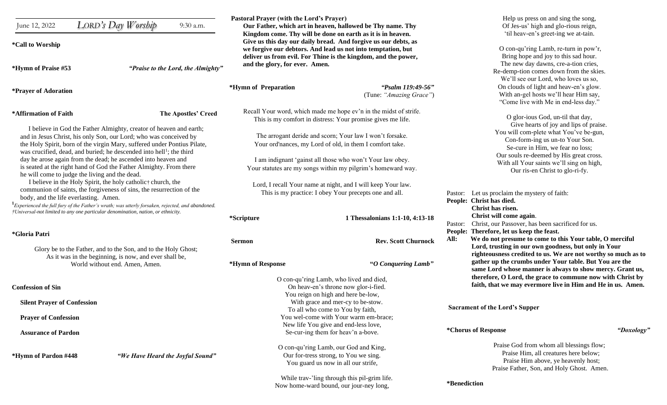|                                                                                          |                                                                                                            | Pastoral Prayer (with the Lord's Prayer)                                                                              |                                                                | Help us press on and sing the song,                                                                                                                                   |            |
|------------------------------------------------------------------------------------------|------------------------------------------------------------------------------------------------------------|-----------------------------------------------------------------------------------------------------------------------|----------------------------------------------------------------|-----------------------------------------------------------------------------------------------------------------------------------------------------------------------|------------|
| June 12, 2022                                                                            | LORD's Day Worship<br>9:30 a.m.                                                                            | Our Father, which art in heaven, hallowed be Thy name. Thy                                                            |                                                                | Of Jes-us' high and glo-rious reign,                                                                                                                                  |            |
|                                                                                          |                                                                                                            |                                                                                                                       | Kingdom come. Thy will be done on earth as it is in heaven.    | 'til heav-en's greet-ing we at-tain.                                                                                                                                  |            |
| <i>*Call to Worship</i>                                                                  |                                                                                                            |                                                                                                                       | Give us this day our daily bread. And forgive us our debts, as |                                                                                                                                                                       |            |
|                                                                                          |                                                                                                            |                                                                                                                       | we forgive our debtors. And lead us not into temptation, but   | O con-qu'ring Lamb, re-turn in pow'r,                                                                                                                                 |            |
|                                                                                          |                                                                                                            |                                                                                                                       | deliver us from evil. For Thine is the kingdom, and the power, | Bring hope and joy to this sad hour.                                                                                                                                  |            |
| *Hymn of Praise #53                                                                      | "Praise to the Lord, the Almighty"                                                                         | and the glory, for ever. Amen.                                                                                        |                                                                | The new day dawns, cre-a-tion cries,                                                                                                                                  |            |
|                                                                                          |                                                                                                            |                                                                                                                       |                                                                | Re-demp-tion comes down from the skies.                                                                                                                               |            |
|                                                                                          |                                                                                                            |                                                                                                                       |                                                                | We'll see our Lord, who loves us so,                                                                                                                                  |            |
| <i>*Prayer of Adoration</i>                                                              |                                                                                                            | *Hymn of Preparation                                                                                                  | "Psalm 119:49-56"                                              | On clouds of light and heav-en's glow.                                                                                                                                |            |
|                                                                                          |                                                                                                            |                                                                                                                       | (Tune: "Amazing Grace")                                        | With an-gel hosts we'll hear Him say,                                                                                                                                 |            |
|                                                                                          |                                                                                                            |                                                                                                                       |                                                                | "Come live with Me in end-less day."                                                                                                                                  |            |
| *Affirmation of Faith                                                                    | The Apostles' Creed                                                                                        | Recall Your word, which made me hope ev'n in the midst of strife.                                                     |                                                                |                                                                                                                                                                       |            |
|                                                                                          |                                                                                                            |                                                                                                                       | This is my comfort in distress: Your promise gives me life.    | O glor-ious God, un-til that day,                                                                                                                                     |            |
| I believe in God the Father Almighty, creator of heaven and earth;                       |                                                                                                            |                                                                                                                       |                                                                | Give hearts of joy and lips of praise.                                                                                                                                |            |
| and in Jesus Christ, his only Son, our Lord; who was conceived by                        |                                                                                                            | The arrogant deride and scorn; Your law I won't forsake.                                                              |                                                                | You will com-plete what You've be-gun,                                                                                                                                |            |
| the Holy Spirit, born of the virgin Mary, suffered under Pontius Pilate,                 |                                                                                                            | Your ord'nances, my Lord of old, in them I comfort take.                                                              |                                                                | Con-form-ing us un-to Your Son.                                                                                                                                       |            |
|                                                                                          | was crucified, dead, and buried; he descended into hell <sup>1</sup> ; the third                           |                                                                                                                       |                                                                | Se-cure in Him, we fear no loss;<br>Our souls re-deemed by His great cross.                                                                                           |            |
|                                                                                          | day he arose again from the dead; he ascended into heaven and                                              | I am indignant 'gainst all those who won't Your law obey.                                                             |                                                                |                                                                                                                                                                       |            |
| is seated at the right hand of God the Father Almighty. From there                       |                                                                                                            | Your statutes are my songs within my pilgrim's homeward way.                                                          |                                                                | With all Your saints we'll sing on high,                                                                                                                              |            |
| he will come to judge the living and the dead.                                           |                                                                                                            |                                                                                                                       |                                                                | Our ris-en Christ to glo-ri-fy.                                                                                                                                       |            |
| I believe in the Holy Spirit, the holy catholic† church, the                             |                                                                                                            | Lord, I recall Your name at night, and I will keep Your law.                                                          |                                                                |                                                                                                                                                                       |            |
| communion of saints, the forgiveness of sins, the resurrection of the                    |                                                                                                            | This is my practice: I obey Your precepts one and all.                                                                |                                                                | Pastor: Let us proclaim the mystery of faith:<br>People: Christ has died.                                                                                             |            |
| body, and the life everlasting. Amen.                                                    |                                                                                                            |                                                                                                                       |                                                                |                                                                                                                                                                       |            |
|                                                                                          | $1_{\text{Experienced the full fury of the Father's~with;}$ was utterly forsaken, rejected, and abandoned. |                                                                                                                       |                                                                | Christ has risen.                                                                                                                                                     |            |
| †Universal-not limited to any one particular denomination, nation, or ethnicity.         |                                                                                                            |                                                                                                                       |                                                                | Christ will come again.                                                                                                                                               |            |
|                                                                                          |                                                                                                            | <i>*Scripture</i>                                                                                                     | 1 Thessalonians 1:1-10, 4:13-18                                | Pastor: Christ, our Passover, has been sacrificed for us.                                                                                                             |            |
|                                                                                          |                                                                                                            |                                                                                                                       |                                                                | People: Therefore, let us keep the feast.                                                                                                                             |            |
| *Gloria Patri                                                                            |                                                                                                            |                                                                                                                       |                                                                | We do not presume to come to this Your table, O merciful<br>All:                                                                                                      |            |
|                                                                                          |                                                                                                            | <b>Sermon</b>                                                                                                         | <b>Rev. Scott Churnock</b>                                     | Lord, trusting in our own goodness, but only in Your                                                                                                                  |            |
|                                                                                          | Glory be to the Father, and to the Son, and to the Holy Ghost;                                             |                                                                                                                       |                                                                | righteousness credited to us. We are not worthy so much as to                                                                                                         |            |
| As it was in the beginning, is now, and ever shall be,<br>World without end. Amen, Amen. |                                                                                                            | *Hymn of Response<br>"O Conquering Lamb"                                                                              |                                                                | gather up the crumbs under Your table. But You are the                                                                                                                |            |
|                                                                                          |                                                                                                            |                                                                                                                       |                                                                | same Lord whose manner is always to show mercy. Grant us,                                                                                                             |            |
|                                                                                          |                                                                                                            |                                                                                                                       |                                                                | therefore, O Lord, the grace to commune now with Christ by                                                                                                            |            |
| <b>Confession of Sin</b><br><b>Silent Prayer of Confession</b>                           |                                                                                                            | O con-qu'ring Lamb, who lived and died,<br>On heav-en's throne now glor-i-fied.                                       |                                                                | faith, that we may evermore live in Him and He in us. Amen.                                                                                                           |            |
|                                                                                          |                                                                                                            |                                                                                                                       | You reign on high and here be-low,                             |                                                                                                                                                                       |            |
|                                                                                          |                                                                                                            | With grace and mer-cy to be-stow.                                                                                     |                                                                |                                                                                                                                                                       |            |
|                                                                                          |                                                                                                            | To all who come to You by faith,                                                                                      |                                                                | <b>Sacrament of the Lord's Supper</b>                                                                                                                                 |            |
| <b>Prayer of Confession</b>                                                              |                                                                                                            |                                                                                                                       | You wel-come with Your warm em-brace;                          |                                                                                                                                                                       |            |
|                                                                                          |                                                                                                            |                                                                                                                       | New life You give and end-less love,                           |                                                                                                                                                                       |            |
| <b>Assurance of Pardon</b>                                                               |                                                                                                            | Se-cur-ing them for heav'n a-bove.                                                                                    |                                                                | *Chorus of Response                                                                                                                                                   | "Doxology" |
|                                                                                          |                                                                                                            |                                                                                                                       |                                                                |                                                                                                                                                                       |            |
|                                                                                          |                                                                                                            | O con-qu'ring Lamb, our God and King,<br>Our for-tress strong, to You we sing.<br>You guard us now in all our strife, |                                                                | Praise God from whom all blessings flow;<br>Praise Him, all creatures here below;<br>Praise Him above, ye heavenly host;<br>Praise Father, Son, and Holy Ghost. Amen. |            |
| *Hymn of Pardon #448                                                                     | "We Have Heard the Joyful Sound"                                                                           |                                                                                                                       |                                                                |                                                                                                                                                                       |            |
|                                                                                          |                                                                                                            |                                                                                                                       |                                                                |                                                                                                                                                                       |            |
|                                                                                          |                                                                                                            |                                                                                                                       |                                                                |                                                                                                                                                                       |            |
|                                                                                          |                                                                                                            | While trav-'ling through this pil-grim life.                                                                          |                                                                | *Benediction                                                                                                                                                          |            |
|                                                                                          |                                                                                                            |                                                                                                                       | Now home-ward bound, our jour-ney long,                        |                                                                                                                                                                       |            |